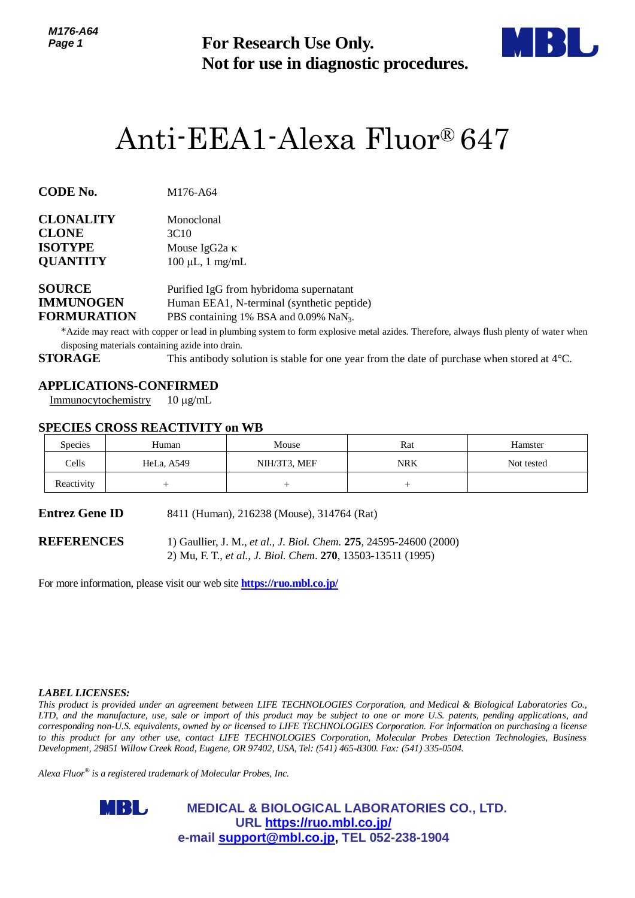

# Anti-EEA1-Alexa Fluor® 647

| <b>CLONALITY</b> | Monoclonal            |  |  |
|------------------|-----------------------|--|--|
| <b>CLONE</b>     | 3C <sub>10</sub>      |  |  |
| <b>ISOTYPE</b>   | Mouse IgG2a $\kappa$  |  |  |
| <b>QUANTITY</b>  | $100 \mu L$ , 1 mg/mL |  |  |
|                  |                       |  |  |

# **APPLICATIONS-CONFIRMED**

# **SPECIES CROSS REACTIVITY on WB**

| Page 1                                                                    |                                                                                         | <b>For Research Use Only.</b><br>Not for use in diagnostic procedures.                                                                                                                                                                               |            |                                                                                                                                                                                                                                                                                                                                                                                                                                                                                                                                          |  |  |
|---------------------------------------------------------------------------|-----------------------------------------------------------------------------------------|------------------------------------------------------------------------------------------------------------------------------------------------------------------------------------------------------------------------------------------------------|------------|------------------------------------------------------------------------------------------------------------------------------------------------------------------------------------------------------------------------------------------------------------------------------------------------------------------------------------------------------------------------------------------------------------------------------------------------------------------------------------------------------------------------------------------|--|--|
|                                                                           |                                                                                         | Anti-EEA1-Alexa Fluor® 647                                                                                                                                                                                                                           |            |                                                                                                                                                                                                                                                                                                                                                                                                                                                                                                                                          |  |  |
| CODE No.                                                                  | M176-A64                                                                                |                                                                                                                                                                                                                                                      |            |                                                                                                                                                                                                                                                                                                                                                                                                                                                                                                                                          |  |  |
| CLONALITY<br><b>CLONE</b><br><b>ISOTYPE</b><br><b>QUANTITY</b>            | Monoclonal<br>3C10                                                                      | Mouse IgG <sub>2a</sub> κ<br>$100 \mu L$ , 1 mg/mL                                                                                                                                                                                                   |            |                                                                                                                                                                                                                                                                                                                                                                                                                                                                                                                                          |  |  |
| <b>SOURCE</b><br><b>IMMUNOGEN</b><br><b>FORMURATION</b><br><b>STORAGE</b> | disposing materials containing azide into drain.                                        | Purified IgG from hybridoma supernatant<br>Human EEA1, N-terminal (synthetic peptide)<br>PBS containing 1% BSA and 0.09% NaN <sub>3</sub> .<br>This antibody solution is stable for one year from the date of purchase when stored at $4^{\circ}$ C. |            | *Azide may react with copper or lead in plumbing system to form explosive metal azides. Therefore, always flush plenty of water when                                                                                                                                                                                                                                                                                                                                                                                                     |  |  |
| Immunocytochemistry                                                       | <b>APPLICATIONS-CONFIRMED</b><br>$10 \mu g/mL$<br><b>SPECIES CROSS REACTIVITY on WB</b> |                                                                                                                                                                                                                                                      |            |                                                                                                                                                                                                                                                                                                                                                                                                                                                                                                                                          |  |  |
| <b>Species</b>                                                            | Human                                                                                   | Mouse                                                                                                                                                                                                                                                | Rat        | Hamster                                                                                                                                                                                                                                                                                                                                                                                                                                                                                                                                  |  |  |
| Cells                                                                     | HeLa, A549                                                                              | NIH/3T3, MEF                                                                                                                                                                                                                                         | <b>NRK</b> | Not tested                                                                                                                                                                                                                                                                                                                                                                                                                                                                                                                               |  |  |
| Reactivity                                                                | $^{+}$                                                                                  | $^{+}$                                                                                                                                                                                                                                               | $^{+}$     |                                                                                                                                                                                                                                                                                                                                                                                                                                                                                                                                          |  |  |
| Entrez Gene ID                                                            |                                                                                         | 8411 (Human), 216238 (Mouse), 314764 (Rat)                                                                                                                                                                                                           |            |                                                                                                                                                                                                                                                                                                                                                                                                                                                                                                                                          |  |  |
| <b>REFERENCES</b>                                                         |                                                                                         | 1) Gaullier, J. M., et al., J. Biol. Chem. 275, 24595-24600 (2000)<br>2) Mu, F. T., et al., J. Biol. Chem. 270, 13503-13511 (1995)                                                                                                                   |            |                                                                                                                                                                                                                                                                                                                                                                                                                                                                                                                                          |  |  |
|                                                                           |                                                                                         | For more information, please visit our web site <b>https://ruo.mbl.co.jp/</b>                                                                                                                                                                        |            |                                                                                                                                                                                                                                                                                                                                                                                                                                                                                                                                          |  |  |
|                                                                           |                                                                                         |                                                                                                                                                                                                                                                      |            |                                                                                                                                                                                                                                                                                                                                                                                                                                                                                                                                          |  |  |
| <i><b>LABEL LICENSES:</b></i>                                             |                                                                                         | Development, 29851 Willow Creek Road, Eugene, OR 97402, USA, Tel: (541) 465-8300. Fax: (541) 335-0504.                                                                                                                                               |            | This product is provided under an agreement between LIFE TECHNOLOGIES Corporation, and Medical & Biological Laboratories Co.,<br>LTD, and the manufacture, use, sale or import of this product may be subject to one or more U.S. patents, pending applications, and<br>corresponding non-U.S. equivalents, owned by or licensed to LIFE TECHNOLOGIES Corporation. For information on purchasing a license<br>o this product for any other use, contact LIFE TECHNOLOGIES Corporation, Molecular Probes Detection Technologies, Business |  |  |
|                                                                           | Alexa Fluor® is a registered trademark of Molecular Probes, Inc.                        |                                                                                                                                                                                                                                                      |            |                                                                                                                                                                                                                                                                                                                                                                                                                                                                                                                                          |  |  |
|                                                                           | MBL,                                                                                    | <b>MEDICAL &amp; BIOLOGICAL LABORATORIES CO., LTD.</b><br>URL https://ruo.mbl.co.jp/<br>e-mail support@mbl.co.jp, TEL 052-238-1904                                                                                                                   |            |                                                                                                                                                                                                                                                                                                                                                                                                                                                                                                                                          |  |  |

#### *LABEL LICENSES:*

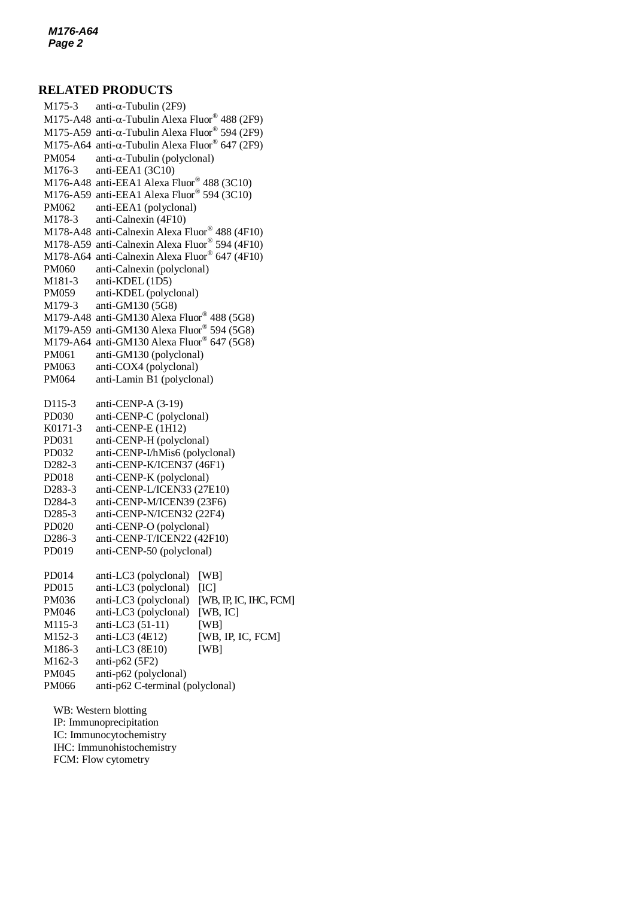## **RELATED PRODUCTS**

 $M175$ -A48 anti- $\alpha$ -Tubulin Alexa Fluor® 488 (2F9) M175-3 anti- $\alpha$ -Tubulin (2F9) M175-A59 anti- $\alpha$ -Tubulin Alexa Fluor® 594 (2F9) M175-A64 anti- $\alpha$ -Tubulin Alexa Fluor® 647 (2F9)  $PM054$  anti- $\alpha$ -Tubulin (polyclonal) M176-3 anti-EEA1 (3C10) M176-A48 anti-EEA1 Alexa Fluor® 488 (3C10) M176-A59 anti-EEA1 Alexa Fluor® 594 (3C10) PM062 anti-EEA1 (polyclonal) M178-3 anti-Calnexin (4F10) M178-A48 anti-Calnexin Alexa Fluor® 488 (4F10) M178-A59 anti-Calnexin Alexa Fluor® 594 (4F10) M178-A64 anti-Calnexin Alexa Fluor® 647 (4F10) PM060 anti-Calnexin (polyclonal) M181-3 anti-KDEL (1D5) PM059 anti-KDEL (polyclonal) M179-3 anti-GM130 (5G8) M179-A48 anti-GM130 Alexa Fluor® 488 (5G8) M179-A59 anti-GM130 Alexa Fluor® 594 (5G8) M179-A64 anti-GM130 Alexa Fluor® 647 (5G8) PM061 anti-GM130 (polyclonal) PM063 anti-COX4 (polyclonal) PM064 anti-Lamin B1 (polyclonal) D115-3 anti-CENP-A (3-19) PD030 anti-CENP-C (polyclonal) K0171-3 anti-CENP-E (1H12) PD031 anti-CENP-H (polyclonal) PD032 anti-CENP-I/hMis6 (polyclonal) D282-3 anti-CENP-K/ICEN37 (46F1) PD018 anti-CENP-K (polyclonal) D283-3 anti-CENP-L/ICEN33 (27E10) D284-3 anti-CENP-M/ICEN39 (23F6) D285-3 anti-CENP-N/ICEN32 (22F4) PD020 anti-CENP-O (polyclonal) D286-3 anti-CENP-T/ICEN22 (42F10) PD019 anti-CENP-50 (polyclonal) PD014 anti-LC3 (polyclonal) [WB] PD015 anti-LC3 (polyclonal) [IC] PM036 anti-LC3 (polyclonal) [WB, IP, IC, IHC, FCM] PM046 anti-LC3 (polyclonal) [WB, IC] M115-3 anti-LC3 (51-11) [WB] M152-3 anti-LC3 (4E12) [WB, IP, IC, FCM] M186-3 anti-LC3 (8E10) [WB] M162-3 anti-p62 (5F2) PM045 anti-p62 (polyclonal) PM066 anti-p62 C-terminal (polyclonal) WB: Western blotting IP: Immunoprecipitation

IC: Immunocytochemistry IHC: Immunohistochemistry FCM: Flow cytometry